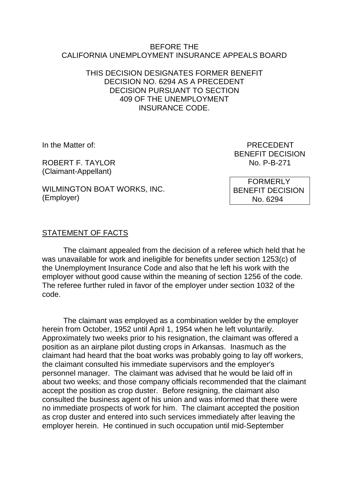#### BEFORE THE CALIFORNIA UNEMPLOYMENT INSURANCE APPEALS BOARD

#### THIS DECISION DESIGNATES FORMER BENEFIT DECISION NO. 6294 AS A PRECEDENT DECISION PURSUANT TO SECTION 409 OF THE UNEMPLOYMENT INSURANCE CODE.

ROBERT F. TAYLOR NO. P-B-271 (Claimant-Appellant)

WILMINGTON BOAT WORKS, INC. (Employer)

In the Matter of: **PRECEDENT** BENEFIT DECISION

> FORMERLY BENEFIT DECISION No. 6294

### STATEMENT OF FACTS

The claimant appealed from the decision of a referee which held that he was unavailable for work and ineligible for benefits under section 1253(c) of the Unemployment Insurance Code and also that he left his work with the employer without good cause within the meaning of section 1256 of the code. The referee further ruled in favor of the employer under section 1032 of the code.

The claimant was employed as a combination welder by the employer herein from October, 1952 until April 1, 1954 when he left voluntarily. Approximately two weeks prior to his resignation, the claimant was offered a position as an airplane pilot dusting crops in Arkansas. Inasmuch as the claimant had heard that the boat works was probably going to lay off workers, the claimant consulted his immediate supervisors and the employer's personnel manager. The claimant was advised that he would be laid off in about two weeks; and those company officials recommended that the claimant accept the position as crop duster. Before resigning, the claimant also consulted the business agent of his union and was informed that there were no immediate prospects of work for him. The claimant accepted the position as crop duster and entered into such services immediately after leaving the employer herein. He continued in such occupation until mid-September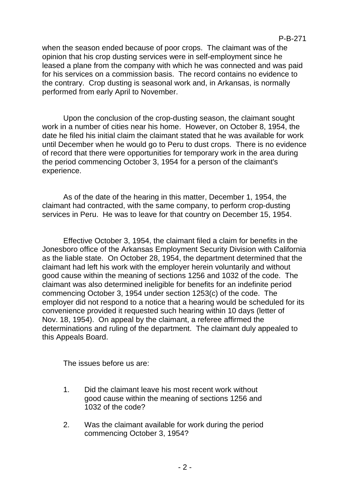when the season ended because of poor crops. The claimant was of the opinion that his crop dusting services were in self-employment since he leased a plane from the company with which he was connected and was paid for his services on a commission basis. The record contains no evidence to the contrary. Crop dusting is seasonal work and, in Arkansas, is normally performed from early April to November.

Upon the conclusion of the crop-dusting season, the claimant sought work in a number of cities near his home. However, on October 8, 1954, the date he filed his initial claim the claimant stated that he was available for work until December when he would go to Peru to dust crops. There is no evidence of record that there were opportunities for temporary work in the area during the period commencing October 3, 1954 for a person of the claimant's experience.

As of the date of the hearing in this matter, December 1, 1954, the claimant had contracted, with the same company, to perform crop-dusting services in Peru. He was to leave for that country on December 15, 1954.

Effective October 3, 1954, the claimant filed a claim for benefits in the Jonesboro office of the Arkansas Employment Security Division with California as the liable state. On October 28, 1954, the department determined that the claimant had left his work with the employer herein voluntarily and without good cause within the meaning of sections 1256 and 1032 of the code. The claimant was also determined ineligible for benefits for an indefinite period commencing October 3, 1954 under section 1253(c) of the code. The employer did not respond to a notice that a hearing would be scheduled for its convenience provided it requested such hearing within 10 days (letter of Nov. 18, 1954). On appeal by the claimant, a referee affirmed the determinations and ruling of the department. The claimant duly appealed to this Appeals Board.

The issues before us are:

- 1. Did the claimant leave his most recent work without good cause within the meaning of sections 1256 and 1032 of the code?
- 2. Was the claimant available for work during the period commencing October 3, 1954?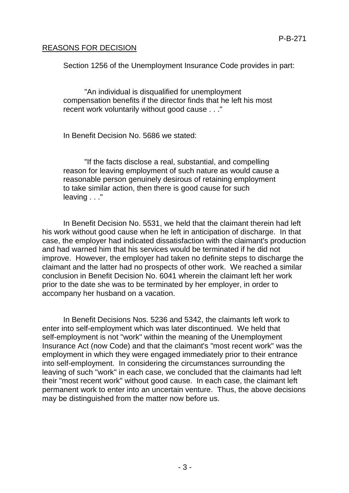# REASONS FOR DECISION

Section 1256 of the Unemployment Insurance Code provides in part:

"An individual is disqualified for unemployment compensation benefits if the director finds that he left his most recent work voluntarily without good cause . . ."

In Benefit Decision No. 5686 we stated:

"If the facts disclose a real, substantial, and compelling reason for leaving employment of such nature as would cause a reasonable person genuinely desirous of retaining employment to take similar action, then there is good cause for such leaving . . ."

In Benefit Decision No. 5531, we held that the claimant therein had left his work without good cause when he left in anticipation of discharge. In that case, the employer had indicated dissatisfaction with the claimant's production and had warned him that his services would be terminated if he did not improve. However, the employer had taken no definite steps to discharge the claimant and the latter had no prospects of other work. We reached a similar conclusion in Benefit Decision No. 6041 wherein the claimant left her work prior to the date she was to be terminated by her employer, in order to accompany her husband on a vacation.

In Benefit Decisions Nos. 5236 and 5342, the claimants left work to enter into self-employment which was later discontinued. We held that self-employment is not "work" within the meaning of the Unemployment Insurance Act (now Code) and that the claimant's "most recent work" was the employment in which they were engaged immediately prior to their entrance into self-employment. In considering the circumstances surrounding the leaving of such "work" in each case, we concluded that the claimants had left their "most recent work" without good cause. In each case, the claimant left permanent work to enter into an uncertain venture. Thus, the above decisions may be distinguished from the matter now before us.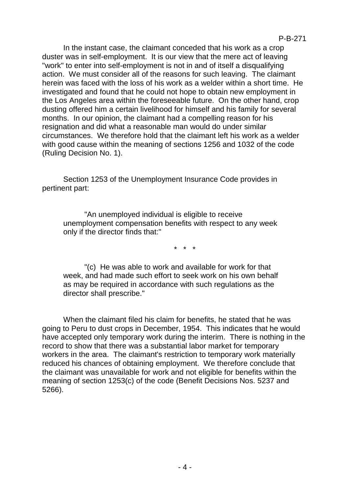In the instant case, the claimant conceded that his work as a crop duster was in self-employment. It is our view that the mere act of leaving "work" to enter into self-employment is not in and of itself a disqualifying action. We must consider all of the reasons for such leaving. The claimant herein was faced with the loss of his work as a welder within a short time. He investigated and found that he could not hope to obtain new employment in the Los Angeles area within the foreseeable future. On the other hand, crop dusting offered him a certain livelihood for himself and his family for several months. In our opinion, the claimant had a compelling reason for his resignation and did what a reasonable man would do under similar circumstances. We therefore hold that the claimant left his work as a welder with good cause within the meaning of sections 1256 and 1032 of the code (Ruling Decision No. 1).

Section 1253 of the Unemployment Insurance Code provides in pertinent part:

"An unemployed individual is eligible to receive unemployment compensation benefits with respect to any week only if the director finds that:"

\* \* \*

"(c) He was able to work and available for work for that week, and had made such effort to seek work on his own behalf as may be required in accordance with such regulations as the director shall prescribe."

When the claimant filed his claim for benefits, he stated that he was going to Peru to dust crops in December, 1954. This indicates that he would have accepted only temporary work during the interim. There is nothing in the record to show that there was a substantial labor market for temporary workers in the area. The claimant's restriction to temporary work materially reduced his chances of obtaining employment. We therefore conclude that the claimant was unavailable for work and not eligible for benefits within the meaning of section 1253(c) of the code (Benefit Decisions Nos. 5237 and 5266).